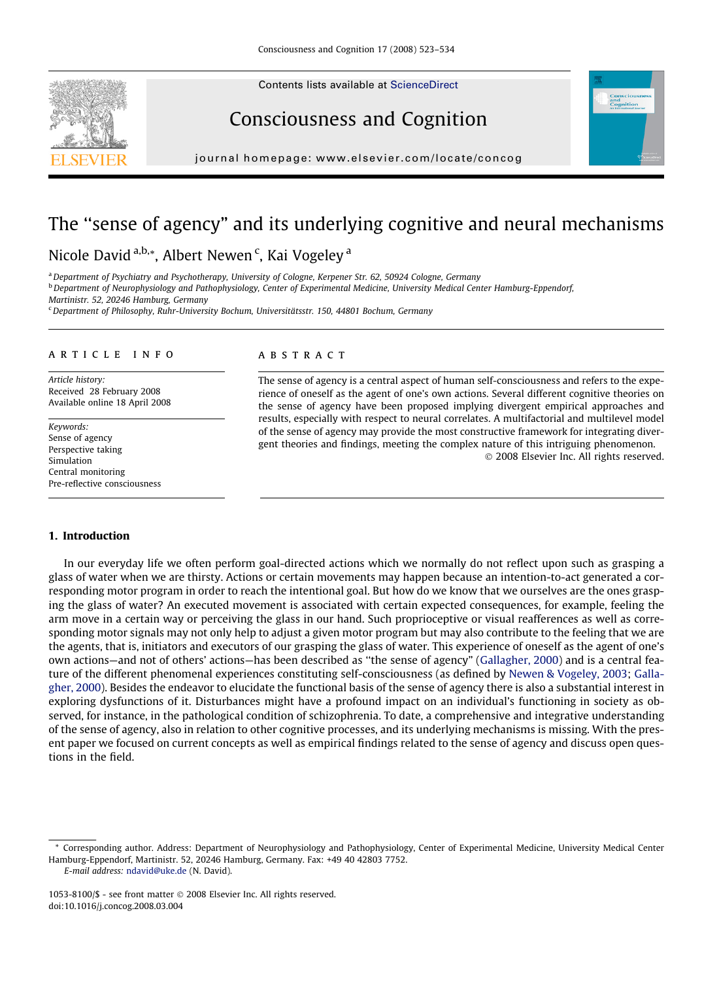Contents lists available at [ScienceDirect](http://www.sciencedirect.com/science/journal/10538100)





# Consciousness and Cognition

journal homepage: www.elsevier.com/locate/concog

# The ''sense of agency" and its underlying cognitive and neural mechanisms

# Nicole David <sup>a,b,</sup>\*, Albert Newen <sup>c</sup>, Kai Vogeley <sup>a</sup>

a Department of Psychiatry and Psychotherapy, University of Cologne, Kerpener Str. 62, 50924 Cologne, Germany

<sup>b</sup> Department of Neurophysiology and Pathophysiology, Center of Experimental Medicine, University Medical Center Hamburg-Eppendorf,

Martinistr. 52, 20246 Hamburg, Germany

<sup>c</sup> Department of Philosophy, Ruhr-University Bochum, Universitätsstr. 150, 44801 Bochum, Germany

#### a r t i c l e i n f o

Article history: Received 28 February 2008 Available online 18 April 2008

Keywords: Sense of agency Perspective taking Simulation Central monitoring Pre-reflective consciousness

# A B S T R A C T

The sense of agency is a central aspect of human self-consciousness and refers to the experience of oneself as the agent of one's own actions. Several different cognitive theories on the sense of agency have been proposed implying divergent empirical approaches and results, especially with respect to neural correlates. A multifactorial and multilevel model of the sense of agency may provide the most constructive framework for integrating divergent theories and findings, meeting the complex nature of this intriguing phenomenon.

 $©$  2008 Elsevier Inc. All rights reserved.

# 1. Introduction

In our everyday life we often perform goal-directed actions which we normally do not reflect upon such as grasping a glass of water when we are thirsty. Actions or certain movements may happen because an intention-to-act generated a corresponding motor program in order to reach the intentional goal. But how do we know that we ourselves are the ones grasping the glass of water? An executed movement is associated with certain expected consequences, for example, feeling the arm move in a certain way or perceiving the glass in our hand. Such proprioceptive or visual reafferences as well as corresponding motor signals may not only help to adjust a given motor program but may also contribute to the feeling that we are the agents, that is, initiators and executors of our grasping the glass of water. This experience of oneself as the agent of one's own actions—and not of others' actions—has been described as ''the sense of agency" ([Gallagher, 2000\)](#page-9-0) and is a central feature of the different phenomenal experiences constituting self-consciousness (as defined by [Newen & Vogeley, 2003](#page-10-0); [Galla](#page-9-0)[gher, 2000](#page-9-0)). Besides the endeavor to elucidate the functional basis of the sense of agency there is also a substantial interest in exploring dysfunctions of it. Disturbances might have a profound impact on an individual's functioning in society as observed, for instance, in the pathological condition of schizophrenia. To date, a comprehensive and integrative understanding of the sense of agency, also in relation to other cognitive processes, and its underlying mechanisms is missing. With the present paper we focused on current concepts as well as empirical findings related to the sense of agency and discuss open questions in the field.

<sup>\*</sup> Corresponding author. Address: Department of Neurophysiology and Pathophysiology, Center of Experimental Medicine, University Medical Center Hamburg-Eppendorf, Martinistr. 52, 20246 Hamburg, Germany. Fax: +49 40 42803 7752.

E-mail address: [ndavid@uke.de](mailto:ndavid@uke.de) (N. David).

<sup>1053-8100/\$ -</sup> see front matter @ 2008 Elsevier Inc. All rights reserved. doi:10.1016/j.concog.2008.03.004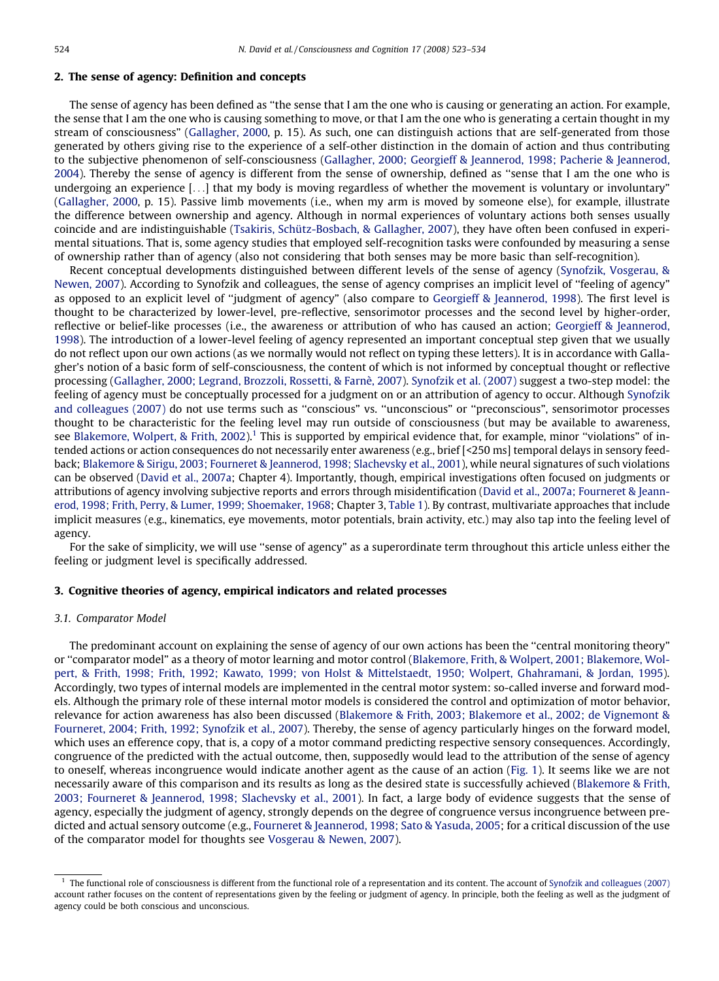### 2. The sense of agency: Definition and concepts

The sense of agency has been defined as ''the sense that I am the one who is causing or generating an action. For example, the sense that I am the one who is causing something to move, or that I am the one who is generating a certain thought in my stream of consciousness" ([Gallagher, 2000,](#page-9-0) p. 15). As such, one can distinguish actions that are self-generated from those generated by others giving rise to the experience of a self-other distinction in the domain of action and thus contributing to the subjective phenomenon of self-consciousness ([Gallagher, 2000; Georgieff & Jeannerod, 1998; Pacherie & Jeannerod,](#page-9-0) [2004](#page-9-0)). Thereby the sense of agency is different from the sense of ownership, defined as ''sense that I am the one who is undergoing an experience [...] that my body is moving regardless of whether the movement is voluntary or involuntary" [\(Gallagher, 2000](#page-9-0), p. 15). Passive limb movements (i.e., when my arm is moved by someone else), for example, illustrate the difference between ownership and agency. Although in normal experiences of voluntary actions both senses usually coincide and are indistinguishable [\(Tsakiris, Schütz-Bosbach, & Gallagher, 2007\)](#page-10-0), they have often been confused in experimental situations. That is, some agency studies that employed self-recognition tasks were confounded by measuring a sense of ownership rather than of agency (also not considering that both senses may be more basic than self-recognition).

Recent conceptual developments distinguished between different levels of the sense of agency ([Synofzik, Vosgerau, &](#page-10-0) [Newen, 2007\)](#page-10-0). According to Synofzik and colleagues, the sense of agency comprises an implicit level of ''feeling of agency" as opposed to an explicit level of ''judgment of agency" (also compare to [Georgieff & Jeannerod, 1998\)](#page-9-0). The first level is thought to be characterized by lower-level, pre-reflective, sensorimotor processes and the second level by higher-order, reflective or belief-like processes (i.e., the awareness or attribution of who has caused an action; [Georgieff & Jeannerod,](#page-9-0) [1998](#page-9-0)). The introduction of a lower-level feeling of agency represented an important conceptual step given that we usually do not reflect upon our own actions (as we normally would not reflect on typing these letters). It is in accordance with Gallagher's notion of a basic form of self-consciousness, the content of which is not informed by conceptual thought or reflective processing [\(Gallagher, 2000; Legrand, Brozzoli, Rossetti, & Farnè, 2007\)](#page-9-0). [Synofzik et al. \(2007\)](#page-10-0) suggest a two-step model: the feeling of agency must be conceptually processed for a judgment on or an attribution of agency to occur. Although [Synofzik](#page-10-0) [and colleagues \(2007\)](#page-10-0) do not use terms such as ''conscious" vs. ''unconscious" or ''preconscious", sensorimotor processes thought to be characteristic for the feeling level may run outside of consciousness (but may be available to awareness, see [Blakemore, Wolpert, & Frith, 2002](#page-9-0)).<sup>1</sup> This is supported by empirical evidence that, for example, minor "violations" of intended actions or action consequences do not necessarily enter awareness (e.g., brief [<250 ms] temporal delays in sensory feed-back; [Blakemore & Sirigu, 2003; Fourneret & Jeannerod, 1998; Slachevsky et al., 2001\)](#page-9-0), while neural signatures of such violations can be observed ([David et al., 2007a](#page-9-0); Chapter 4). Importantly, though, empirical investigations often focused on judgments or attributions of agency involving subjective reports and errors through misidentification ([David et al., 2007a; Fourneret & Jeann](#page-9-0)[erod, 1998; Frith, Perry, & Lumer, 1999; Shoemaker, 1968;](#page-9-0) Chapter 3, [Table 1\)](#page-2-0). By contrast, multivariate approaches that include implicit measures (e.g., kinematics, eye movements, motor potentials, brain activity, etc.) may also tap into the feeling level of agency.

For the sake of simplicity, we will use ''sense of agency" as a superordinate term throughout this article unless either the feeling or judgment level is specifically addressed.

# 3. Cognitive theories of agency, empirical indicators and related processes

#### 3.1. Comparator Model

The predominant account on explaining the sense of agency of our own actions has been the ''central monitoring theory" or ''comparator model" as a theory of motor learning and motor control ([Blakemore, Frith, & Wolpert, 2001; Blakemore, Wol](#page-9-0)[pert, & Frith, 1998; Frith, 1992; Kawato, 1999; von Holst & Mittelstaedt, 1950; Wolpert, Ghahramani, & Jordan, 1995](#page-9-0)). Accordingly, two types of internal models are implemented in the central motor system: so-called inverse and forward models. Although the primary role of these internal motor models is considered the control and optimization of motor behavior, relevance for action awareness has also been discussed [\(Blakemore & Frith, 2003; Blakemore et al., 2002; de Vignemont &](#page-9-0) [Fourneret, 2004; Frith, 1992; Synofzik et al., 2007\)](#page-9-0). Thereby, the sense of agency particularly hinges on the forward model, which uses an efference copy, that is, a copy of a motor command predicting respective sensory consequences. Accordingly, congruence of the predicted with the actual outcome, then, supposedly would lead to the attribution of the sense of agency to oneself, whereas incongruence would indicate another agent as the cause of an action ([Fig. 1\)](#page-4-0). It seems like we are not necessarily aware of this comparison and its results as long as the desired state is successfully achieved [\(Blakemore & Frith,](#page-9-0) [2003; Fourneret & Jeannerod, 1998; Slachevsky et al., 2001\)](#page-9-0). In fact, a large body of evidence suggests that the sense of agency, especially the judgment of agency, strongly depends on the degree of congruence versus incongruence between predicted and actual sensory outcome (e.g., [Fourneret & Jeannerod, 1998; Sato & Yasuda, 2005](#page-9-0); for a critical discussion of the use of the comparator model for thoughts see [Vosgerau & Newen, 2007\)](#page-10-0).

<span id="page-1-0"></span> $<sup>1</sup>$  The functional role of consciousness is different from the functional role of a representation and its content. The account of [Synofzik and colleagues \(2007\)](#page-10-0)</sup> account rather focuses on the content of representations given by the feeling or judgment of agency. In principle, both the feeling as well as the judgment of agency could be both conscious and unconscious.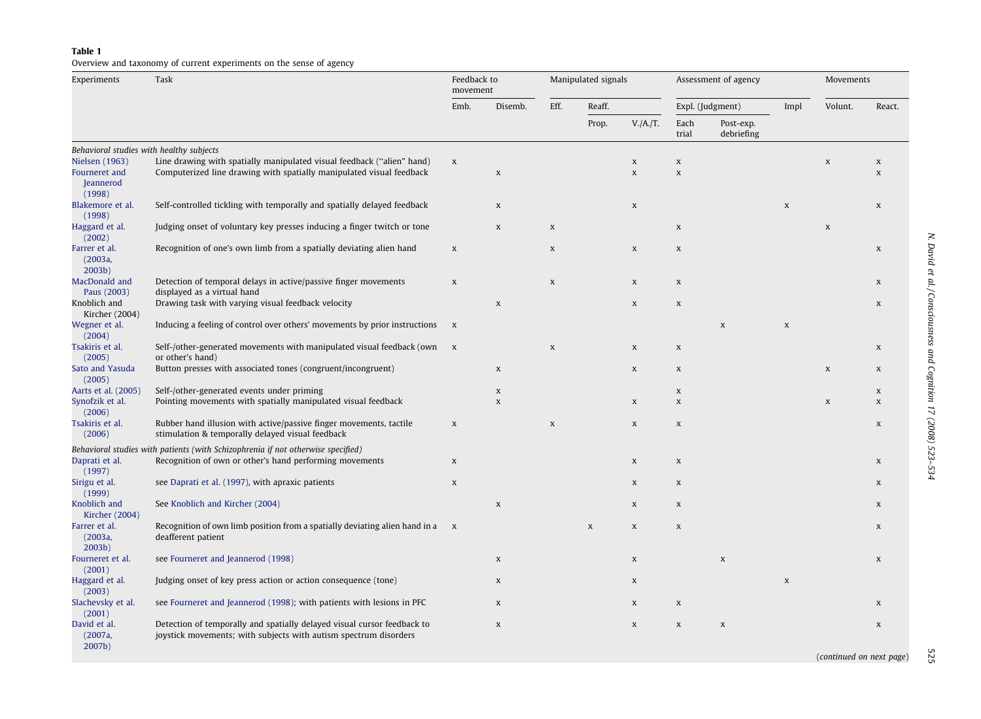# Table 1

Overview and taxonomy of current experiments on the sense of agency

<span id="page-2-0"></span>

| Experiments                                            | Task                                                                                                                                           | Feedback to<br>movement |                            | Manipulated signals |        |                            | Assessment of agency       |                         |        | Movements   |              |
|--------------------------------------------------------|------------------------------------------------------------------------------------------------------------------------------------------------|-------------------------|----------------------------|---------------------|--------|----------------------------|----------------------------|-------------------------|--------|-------------|--------------|
|                                                        |                                                                                                                                                | Emb.                    | Disemb.                    | Eff.                | Reaff. |                            | Expl. (Judgment)           |                         | Impl   | Volunt.     | React.       |
|                                                        |                                                                                                                                                |                         |                            |                     | Prop.  | V.A.A/T.                   | Each<br>trial              | Post-exp.<br>debriefing |        |             |              |
| Behavioral studies with healthy subjects               |                                                                                                                                                |                         |                            |                     |        |                            |                            |                         |        |             |              |
| Nielsen (1963)<br>Fourneret and<br>Jeannerod<br>(1998) | Line drawing with spatially manipulated visual feedback ("alien" hand)<br>Computerized line drawing with spatially manipulated visual feedback | $\mathbf x$             | X                          |                     |        | $\mathbf x$<br>$\mathbf x$ | $\mathbf x$<br>$\mathbf x$ |                         |        | $\mathbf x$ | X<br>X       |
| Blakemore et al.<br>(1998)                             | Self-controlled tickling with temporally and spatially delayed feedback                                                                        |                         | $\mathbf x$                |                     |        | $\mathbf x$                |                            |                         | $\,$ X |             | $\mathbf x$  |
| Haggard et al.<br>(2002)                               | Judging onset of voluntary key presses inducing a finger twitch or tone                                                                        |                         | $\mathbf x$                | $\mathbf x$         |        |                            | $\mathbf x$                |                         |        | $\mathbf x$ |              |
| Farrer et al.<br>(2003a,<br>$2003b$ )                  | Recognition of one's own limb from a spatially deviating alien hand                                                                            | $\mathbf x$             |                            | X                   |        | $\mathbf x$                | X                          |                         |        |             | X            |
| MacDonald and<br>Paus (2003)                           | Detection of temporal delays in active/passive finger movements<br>displayed as a virtual hand                                                 | $\mathbf x$             |                            | $\mathbf x$         |        | $\mathbf x$                | $\mathbf x$                |                         |        |             | X            |
| Knoblich and<br>Kircher (2004)                         | Drawing task with varying visual feedback velocity                                                                                             |                         | $\mathbf x$                |                     |        | $\mathbf x$                | $\mathbf x$                |                         |        |             | $\mathbf x$  |
| Wegner et al.<br>(2004)                                | Inducing a feeling of control over others' movements by prior instructions x                                                                   |                         |                            |                     |        |                            |                            | $\mathbf x$             | $\,$ X |             |              |
| Tsakiris et al.<br>(2005)                              | Self-/other-generated movements with manipulated visual feedback (own x<br>or other's hand)                                                    |                         |                            | X                   |        | X                          | X                          |                         |        |             | X            |
| Sato and Yasuda<br>(2005)                              | Button presses with associated tones (congruent/incongruent)                                                                                   |                         | X                          |                     |        | X                          | X                          |                         |        | $\mathbf x$ | X            |
| Aarts et al. (2005)<br>Synofzik et al.<br>(2006)       | Self-/other-generated events under priming<br>Pointing movements with spatially manipulated visual feedback                                    |                         | $\mathbf x$<br>$\mathbf x$ |                     |        | X                          | $\mathbf x$<br>$\mathbf x$ |                         |        | $\mathbf x$ | X<br>X       |
| Tsakiris et al.<br>(2006)                              | Rubber hand illusion with active/passive finger movements, tactile<br>stimulation & temporally delayed visual feedback                         | $\mathbf{x}$            |                            | X                   |        | X                          | X                          |                         |        |             | X            |
|                                                        | Behavioral studies with patients (with Schizophrenia if not otherwise specified)                                                               |                         |                            |                     |        |                            |                            |                         |        |             |              |
| Daprati et al.<br>(1997)                               | Recognition of own or other's hand performing movements                                                                                        | $\mathbf x$             |                            |                     |        | $\mathbf x$                | $\mathbf x$                |                         |        |             | $\mathbf x$  |
| Sirigu et al.<br>(1999)                                | see Daprati et al. (1997), with apraxic patients                                                                                               | $\mathbf x$             |                            |                     |        | $\mathbf x$                | $\mathbf x$                |                         |        |             | X            |
| Knoblich and<br>Kircher (2004)                         | See Knoblich and Kircher (2004)                                                                                                                |                         | $\mathbf x$                |                     |        | $\mathbf x$                | $\mathbf x$                |                         |        |             | $\mathbf x$  |
| Farrer et al.<br>(2003a,<br>$2003b$ )                  | Recognition of own limb position from a spatially deviating alien hand in a x<br>deafferent patient                                            |                         |                            |                     | X      | X                          | X                          |                         |        |             | $\mathbf{x}$ |
| Fourneret et al.<br>(2001)                             | see Fourneret and Jeannerod (1998)                                                                                                             |                         | $\mathbf x$                |                     |        | $\mathbf x$                |                            | $\mathbf x$             |        |             | X            |
| Haggard et al.<br>(2003)                               | Judging onset of key press action or action consequence (tone)                                                                                 |                         | $\mathbf x$                |                     |        | $\mathbf x$                |                            |                         | $\,$ X |             |              |
| Slachevsky et al.<br>(2001)                            | see Fourneret and Jeannerod (1998); with patients with lesions in PFC                                                                          |                         | $\mathbf x$                |                     |        | X                          | X                          |                         |        |             | X            |
| David et al.<br>(2007a,<br>2007b)                      | Detection of temporally and spatially delayed visual cursor feedback to<br>joystick movements; with subjects with autism spectrum disorders    |                         | $\mathbf x$                |                     |        | X                          | $\mathbf x$                | X                       |        |             | X            |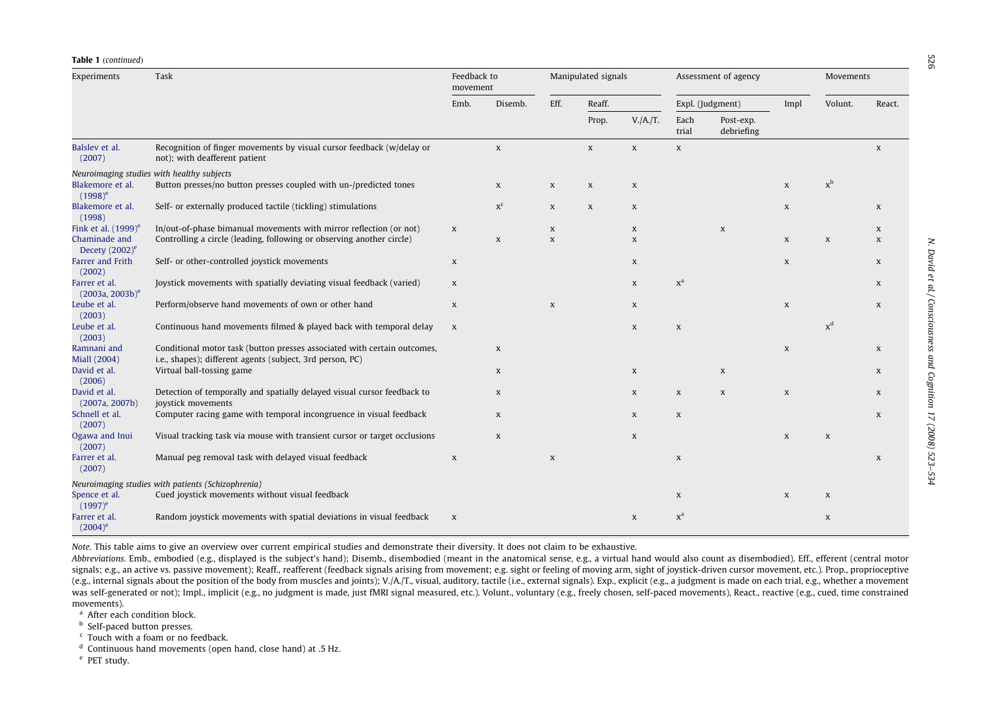| Experiments                         | Task                                                                                                   | Feedback to<br>movement |             | Manipulated signals |                           |                           | Assessment of agency |                         |                           | Movements   |             |
|-------------------------------------|--------------------------------------------------------------------------------------------------------|-------------------------|-------------|---------------------|---------------------------|---------------------------|----------------------|-------------------------|---------------------------|-------------|-------------|
|                                     |                                                                                                        | Emb.                    | Disemb.     | Eff.                | Reaff.                    |                           | Expl. (Judgment)     |                         | Impl                      | Volunt.     | React.      |
|                                     |                                                                                                        |                         |             |                     | Prop.                     | V.A.A/T.                  | Each<br>trial        | Post-exp.<br>debriefing |                           |             |             |
| Balslev et al.<br>(2007)            | Recognition of finger movements by visual cursor feedback (w/delay or<br>not); with deafferent patient |                         | $\mathbf x$ |                     | $\mathbf{x}$              | $\mathbf x$               | $\mathbf x$          |                         |                           |             | $\mathbf x$ |
|                                     | Neuroimaging studies with healthy subjects                                                             |                         |             |                     |                           |                           |                      |                         |                           |             |             |
| Blakemore et al.<br>$(1998)^e$      | Button presses/no button presses coupled with un-/predicted tones                                      |                         | $\mathbf x$ | X                   | $\mathbf{x}$              | $\mathbf x$               |                      |                         | X                         | $x^b$       |             |
| Blakemore et al.<br>(1998)          | Self- or externally produced tactile (tickling) stimulations                                           |                         | $x^c$       | X                   | $\boldsymbol{\mathsf{x}}$ | $\boldsymbol{\mathsf{x}}$ |                      |                         | $\boldsymbol{\mathsf{x}}$ |             | X           |
| Fink et al. (1999) <sup>e</sup>     | In/out-of-phase bimanual movements with mirror reflection (or not)                                     | X                       |             | X                   |                           | $\,$ X                    |                      | $\mathbf x$             |                           |             | X           |
| Chaminade and<br>Decety $(2002)^e$  | Controlling a circle (leading, following or observing another circle)                                  |                         | $\mathbf x$ | $\mathbf{x}$        |                           | $\mathbf x$               |                      |                         | $\mathbf x$               | $\mathbf x$ | X           |
| Farrer and Frith<br>(2002)          | Self- or other-controlled joystick movements                                                           | X                       |             |                     |                           | $\mathbf{x}$              |                      |                         | X                         |             | X           |
| Farrer et al.<br>$(2003a, 2003b)^e$ | Joystick movements with spatially deviating visual feedback (varied)                                   | X                       |             |                     |                           | $\mathbf{x}$              | $X^d$                |                         |                           |             | X           |
| Leube et al.<br>(2003)              | Perform/observe hand movements of own or other hand                                                    | $\mathbf x$             |             | X                   |                           | $\boldsymbol{\mathsf{x}}$ |                      |                         | X                         |             | X           |
| Leube et al.<br>(2003)              | Continuous hand movements filmed & played back with temporal delay                                     | X                       |             |                     |                           | X                         | X                    |                         |                           | $x^d$       |             |
| Ramnani and                         | Conditional motor task (button presses associated with certain outcomes,                               |                         | X           |                     |                           |                           |                      |                         | X                         |             | X           |
| Miall (2004)                        | i.e., shapes); different agents (subject, 3rd person, PC)                                              |                         |             |                     |                           |                           |                      |                         |                           |             |             |
| David et al.<br>(2006)              | Virtual ball-tossing game                                                                              |                         | X           |                     |                           | $\mathbf{x}$              |                      | $\mathbf x$             |                           |             | X           |
| David et al.<br>(2007a, 2007b)      | Detection of temporally and spatially delayed visual cursor feedback to<br>joystick movements          |                         | X           |                     |                           | X                         | X                    | $\mathbf x$             | X                         |             | X           |
| Schnell et al.<br>(2007)            | Computer racing game with temporal incongruence in visual feedback                                     |                         | $\mathbf x$ |                     |                           | X                         | X                    |                         |                           |             | X           |
| Ogawa and Inui<br>(2007)            | Visual tracking task via mouse with transient cursor or target occlusions                              |                         | X           |                     |                           | X                         |                      |                         | X                         | X           |             |
| Farrer et al.<br>(2007)             | Manual peg removal task with delayed visual feedback                                                   | $\mathbf x$             |             | X                   |                           |                           | X                    |                         |                           |             | X           |
|                                     | Neuroimaging studies with patients (Schizophrenia)                                                     |                         |             |                     |                           |                           |                      |                         |                           |             |             |
| Spence et al.<br>$(1997)^e$         | Cued joystick movements without visual feedback                                                        |                         |             |                     |                           |                           | X                    |                         | X                         | X           |             |
| Farrer et al.<br>$(2004)^e$         | Random joystick movements with spatial deviations in visual feedback                                   | X                       |             |                     |                           | $\boldsymbol{\mathsf{x}}$ | $x^a$                |                         |                           | $\mathbf x$ |             |

Note. This table aims to give an overview over current empirical studies and demonstrate their diversity. It does not claim to be exhaustive.

Abbreviations. Emb., embodied (e.g., displayed is the subject's hand); Disemb., disembodied (meant in the anatomical sense, e.g., a virtual hand would also count as disembodied). Eff., efferent (central motor signals; e.g., an active vs. passive movement); Reaff., reafferent (feedback signals arising from movement; e.g. sight or feeling of moving arm, sight of joystick-driven cursor movement, etc.). Prop., proprioceptive (e.g., internal signals about the position of the body from muscles and joints); V./A./T., visual, auditory, tactile (i.e., external signals). Exp., explicit (e.g., a judgment is made on each trial, e.g., whether a movement was self-generated or not); Impl., implicit (e.g., no judgment is made, just fMRI signal measured, etc.). Volunt., voluntary (e.g., freely chosen, self-paced movements), React., reactive (e.g., cued, time constrained movements).

<sup>a</sup> After each condition block.

**b** Self-paced button presses.

<sup>c</sup> Touch with a foam or no feedback.

<sup>d</sup> Continuous hand movements (open hand, close hand) at .5 Hz.

<span id="page-3-0"></span><sup>e</sup> PET study.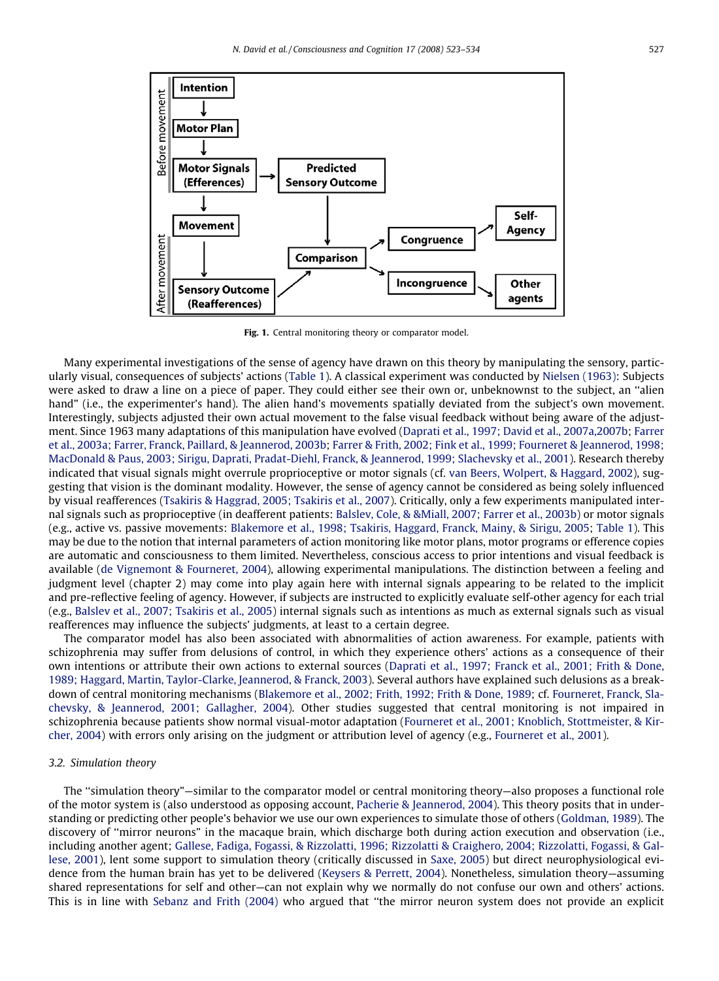

Fig. 1. Central monitoring theory or comparator model.

Many experimental investigations of the sense of agency have drawn on this theory by manipulating the sensory, particularly visual, consequences of subjects' actions ([Table 1](#page-2-0)). A classical experiment was conducted by [Nielsen \(1963\):](#page-10-0) Subjects were asked to draw a line on a piece of paper. They could either see their own or, unbeknownst to the subject, an ''alien hand" (i.e., the experimenter's hand). The alien hand's movements spatially deviated from the subject's own movement. Interestingly, subjects adjusted their own actual movement to the false visual feedback without being aware of the adjustment. Since 1963 many adaptations of this manipulation have evolved [\(Daprati et al., 1997; David et al., 2007a,2007b;](#page-9-0) [Farrer](#page-9-0) [et al., 2003a; Farrer, Franck, Paillard, & Jeannerod, 2003b](#page-9-0); [Farrer & Frith, 2002; Fink et al., 1999; Fourneret & Jeannerod, 1998;](#page-9-0) [MacDonald & Paus, 2003; Sirigu, Daprati, Pradat-Diehl, Franck, & Jeannerod, 1999; Slachevsky et al., 2001](#page-9-0)). Research thereby indicated that visual signals might overrule proprioceptive or motor signals (cf. [van Beers, Wolpert, & Haggard, 2002](#page-10-0)), suggesting that vision is the dominant modality. However, the sense of agency cannot be considered as being solely influenced by visual reafferences [\(Tsakiris & Haggrad, 2005; Tsakiris et al., 2007](#page-10-0)). Critically, only a few experiments manipulated internal signals such as proprioceptive (in deafferent patients: [Balslev, Cole, & &Miall, 2007; Farrer et al., 2003b\)](#page-9-0) or motor signals (e.g., active vs. passive movements: [Blakemore et al., 1998; Tsakiris, Haggard, Franck, Mainy, & Sirigu, 2005;](#page-9-0) [Table 1\)](#page-2-0). This may be due to the notion that internal parameters of action monitoring like motor plans, motor programs or efference copies are automatic and consciousness to them limited. Nevertheless, conscious access to prior intentions and visual feedback is available [\(de Vignemont & Fourneret, 2004](#page-9-0)), allowing experimental manipulations. The distinction between a feeling and judgment level (chapter 2) may come into play again here with internal signals appearing to be related to the implicit and pre-reflective feeling of agency. However, if subjects are instructed to explicitly evaluate self-other agency for each trial (e.g., [Balslev et al., 2007; Tsakiris et al., 2005](#page-9-0)) internal signals such as intentions as much as external signals such as visual reafferences may influence the subjects' judgments, at least to a certain degree.

The comparator model has also been associated with abnormalities of action awareness. For example, patients with schizophrenia may suffer from delusions of control, in which they experience others' actions as a consequence of their own intentions or attribute their own actions to external sources ([Daprati et al., 1997; Franck et al., 2001; Frith & Done,](#page-9-0) [1989; Haggard, Martin, Taylor-Clarke, Jeannerod, & Franck, 2003\)](#page-9-0). Several authors have explained such delusions as a breakdown of central monitoring mechanisms ([Blakemore et al., 2002; Frith, 1992; Frith & Done, 1989](#page-9-0); cf. [Fourneret, Franck, Sla](#page-9-0)[chevsky, & Jeannerod, 2001; Gallagher, 2004](#page-9-0)). Other studies suggested that central monitoring is not impaired in schizophrenia because patients show normal visual-motor adaptation [\(Fourneret et al., 2001; Knoblich, Stottmeister, & Kir](#page-9-0)[cher, 2004\)](#page-9-0) with errors only arising on the judgment or attribution level of agency (e.g., [Fourneret et al., 2001](#page-9-0)).

#### 3.2. Simulation theory

<span id="page-4-0"></span>The ''simulation theory"—similar to the comparator model or central monitoring theory—also proposes a functional role of the motor system is (also understood as opposing account, [Pacherie & Jeannerod, 2004](#page-10-0)). This theory posits that in understanding or predicting other people's behavior we use our own experiences to simulate those of others ([Goldman, 1989](#page-9-0)). The discovery of ''mirror neurons" in the macaque brain, which discharge both during action execution and observation (i.e., including another agent; [Gallese, Fadiga, Fogassi, & Rizzolatti, 1996; Rizzolatti & Craighero, 2004; Rizzolatti, Fogassi, & Gal](#page-9-0)[lese, 2001](#page-9-0)), lent some support to simulation theory (critically discussed in [Saxe, 2005](#page-10-0)) but direct neurophysiological evidence from the human brain has yet to be delivered [\(Keysers & Perrett, 2004\)](#page-10-0). Nonetheless, simulation theory—assuming shared representations for self and other—can not explain why we normally do not confuse our own and others' actions. This is in line with [Sebanz and Frith \(2004\)](#page-10-0) who argued that ''the mirror neuron system does not provide an explicit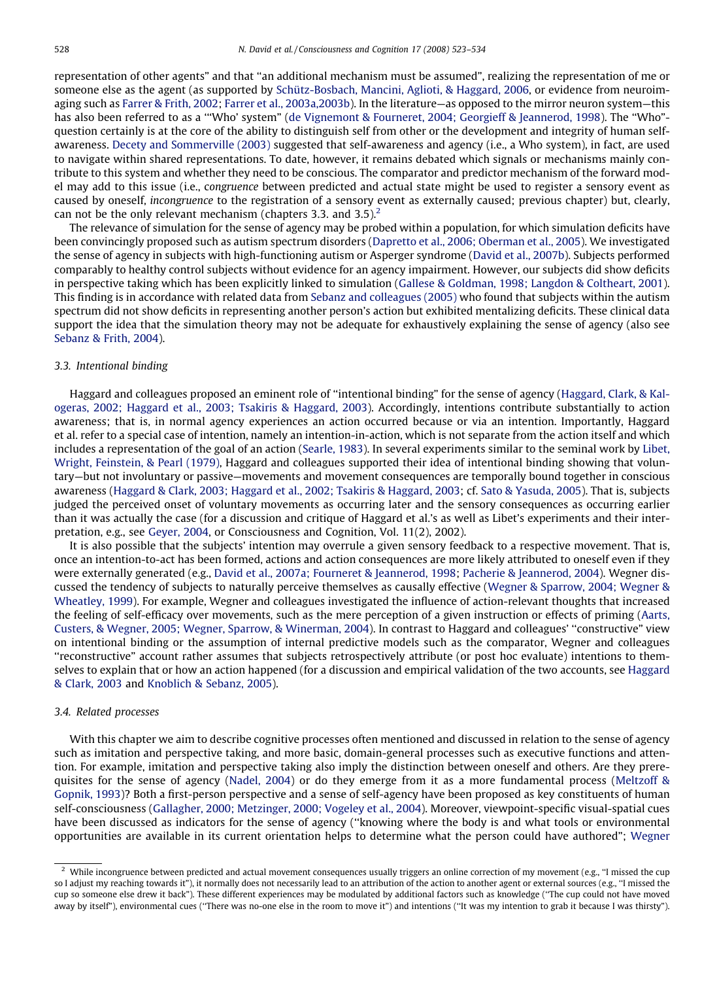representation of other agents" and that ''an additional mechanism must be assumed", realizing the representation of me or someone else as the agent (as supported by [Schütz-Bosbach, Mancini, Aglioti, & Haggard, 2006,](#page-10-0) or evidence from neuroimaging such as [Farrer & Frith, 2002](#page-9-0); [Farrer et al., 2003a,2003b](#page-9-0)). In the literature—as opposed to the mirror neuron system—this has also been referred to as a '''Who' system" ([de Vignemont & Fourneret, 2004; Georgieff & Jeannerod, 1998\)](#page-9-0). The ''Who" question certainly is at the core of the ability to distinguish self from other or the development and integrity of human selfawareness. [Decety and Sommerville \(2003\)](#page-9-0) suggested that self-awareness and agency (i.e., a Who system), in fact, are used to navigate within shared representations. To date, however, it remains debated which signals or mechanisms mainly contribute to this system and whether they need to be conscious. The comparator and predictor mechanism of the forward model may add to this issue (i.e., congruence between predicted and actual state might be used to register a sensory event as caused by oneself, incongruence to the registration of a sensory event as externally caused; previous chapter) but, clearly, can not be the only relevant mechanism (chapters 3.3. and  $3.5$ ).<sup>[2](#page-5-0)</sup>

The relevance of simulation for the sense of agency may be probed within a population, for which simulation deficits have been convincingly proposed such as autism spectrum disorders [\(Dapretto et al., 2006; Oberman et al., 2005\)](#page-9-0). We investigated the sense of agency in subjects with high-functioning autism or Asperger syndrome [\(David et al., 2007b\)](#page-9-0). Subjects performed comparably to healthy control subjects without evidence for an agency impairment. However, our subjects did show deficits in perspective taking which has been explicitly linked to simulation [\(Gallese & Goldman, 1998; Langdon & Coltheart, 2001](#page-9-0)). This finding is in accordance with related data from [Sebanz and colleagues \(2005\)](#page-10-0) who found that subjects within the autism spectrum did not show deficits in representing another person's action but exhibited mentalizing deficits. These clinical data support the idea that the simulation theory may not be adequate for exhaustively explaining the sense of agency (also see [Sebanz & Frith, 2004](#page-10-0)).

#### 3.3. Intentional binding

Haggard and colleagues proposed an eminent role of ''intentional binding" for the sense of agency [\(Haggard, Clark, & Kal](#page-9-0)[ogeras, 2002; Haggard et al., 2003; Tsakiris & Haggard, 2003](#page-9-0)). Accordingly, intentions contribute substantially to action awareness; that is, in normal agency experiences an action occurred because or via an intention. Importantly, Haggard et al. refer to a special case of intention, namely an intention-in-action, which is not separate from the action itself and which includes a representation of the goal of an action [\(Searle, 1983](#page-10-0)). In several experiments similar to the seminal work by [Libet,](#page-10-0) [Wright, Feinstein, & Pearl \(1979\)](#page-10-0), Haggard and colleagues supported their idea of intentional binding showing that voluntary—but not involuntary or passive—movements and movement consequences are temporally bound together in conscious awareness ([Haggard & Clark, 2003; Haggard et al., 2002; Tsakiris & Haggard, 2003;](#page-9-0) cf. [Sato & Yasuda, 2005](#page-10-0)). That is, subjects judged the perceived onset of voluntary movements as occurring later and the sensory consequences as occurring earlier than it was actually the case (for a discussion and critique of Haggard et al.'s as well as Libet's experiments and their interpretation, e.g., see [Geyer, 2004,](#page-9-0) or Consciousness and Cognition, Vol. 11(2), 2002).

It is also possible that the subjects' intention may overrule a given sensory feedback to a respective movement. That is, once an intention-to-act has been formed, actions and action consequences are more likely attributed to oneself even if they were externally generated (e.g., [David et al., 2007a; Fourneret & Jeannerod, 1998](#page-9-0); [Pacherie & Jeannerod, 2004\)](#page-10-0). Wegner discussed the tendency of subjects to naturally perceive themselves as causally effective ([Wegner & Sparrow, 2004; Wegner &](#page-11-1) [Wheatley, 1999\)](#page-11-1). For example, Wegner and colleagues investigated the influence of action-relevant thoughts that increased the feeling of self-efficacy over movements, such as the mere perception of a given instruction or effects of priming ([Aarts,](#page-8-1) [Custers, & Wegner, 2005; Wegner, Sparrow, & Winerman, 2004\)](#page-8-1). In contrast to Haggard and colleagues' ''constructive" view on intentional binding or the assumption of internal predictive models such as the comparator, Wegner and colleagues ''reconstructive" account rather assumes that subjects retrospectively attribute (or post hoc evaluate) intentions to themselves to explain that or how an action happened (for a discussion and empirical validation of the two accounts, see [Haggard](#page-9-0) [& Clark, 2003](#page-9-0) and [Knoblich & Sebanz, 2005](#page-10-0)).

#### 3.4. Related processes

With this chapter we aim to describe cognitive processes often mentioned and discussed in relation to the sense of agency such as imitation and perspective taking, and more basic, domain-general processes such as executive functions and attention. For example, imitation and perspective taking also imply the distinction between oneself and others. Are they prerequisites for the sense of agency ([Nadel, 2004](#page-10-0)) or do they emerge from it as a more fundamental process [\(Meltzoff &](#page-10-0) [Gopnik, 1993](#page-10-0))? Both a first-person perspective and a sense of self-agency have been proposed as key constituents of human self-consciousness ([Gallagher, 2000; Metzinger, 2000; Vogeley et al., 2004](#page-9-0)). Moreover, viewpoint-specific visual-spatial cues have been discussed as indicators for the sense of agency (''knowing where the body is and what tools or environmental opportunities are available in its current orientation helps to determine what the person could have authored"; [Wegner](#page-11-1)

<span id="page-5-0"></span>While incongruence between predicted and actual movement consequences usually triggers an online correction of my movement (e.g., "I missed the cup so I adjust my reaching towards it"), it normally does not necessarily lead to an attribution of the action to another agent or external sources (e.g., "I missed the cup so someone else drew it back"). These different experiences may be modulated by additional factors such as knowledge (''The cup could not have moved away by itself"), environmental cues (''There was no-one else in the room to move it") and intentions (''It was my intention to grab it because I was thirsty").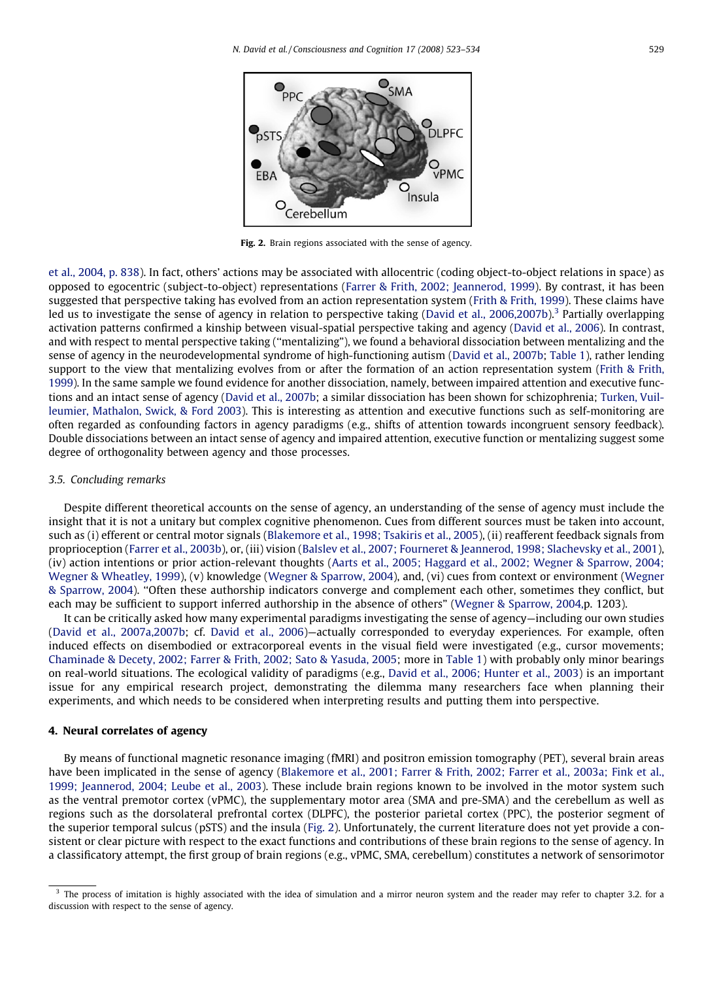

Fig. 2. Brain regions associated with the sense of agency.

[et al., 2004, p. 838\)](#page-11-1). In fact, others' actions may be associated with allocentric (coding object-to-object relations in space) as opposed to egocentric (subject-to-object) representations ([Farrer & Frith, 2002; Jeannerod, 1999](#page-9-0)). By contrast, it has been suggested that perspective taking has evolved from an action representation system ([Frith & Frith, 1999\)](#page-9-0). These claims have led us to investigate the sense of agency in relation to perspective taking ([David et al., 2006,2007b\)](#page-9-0).<sup>[3](#page-6-0)</sup> Partially overlapping activation patterns confirmed a kinship between visual-spatial perspective taking and agency [\(David et al., 2006](#page-9-0)). In contrast, and with respect to mental perspective taking (''mentalizing"), we found a behavioral dissociation between mentalizing and the sense of agency in the neurodevelopmental syndrome of high-functioning autism ([David et al., 2007b;](#page-9-0) [Table 1\)](#page-2-0), rather lending support to the view that mentalizing evolves from or after the formation of an action representation system [\(Frith & Frith,](#page-9-0) [1999](#page-9-0)). In the same sample we found evidence for another dissociation, namely, between impaired attention and executive functions and an intact sense of agency ([David et al., 2007b](#page-9-0); a similar dissociation has been shown for schizophrenia; [Turken, Vuil](#page-10-0)[leumier, Mathalon, Swick, & Ford 2003](#page-10-0)). This is interesting as attention and executive functions such as self-monitoring are often regarded as confounding factors in agency paradigms (e.g., shifts of attention towards incongruent sensory feedback). Double dissociations between an intact sense of agency and impaired attention, executive function or mentalizing suggest some degree of orthogonality between agency and those processes.

#### 3.5. Concluding remarks

Despite different theoretical accounts on the sense of agency, an understanding of the sense of agency must include the insight that it is not a unitary but complex cognitive phenomenon. Cues from different sources must be taken into account, such as (i) efferent or central motor signals ([Blakemore et al., 1998; Tsakiris et al., 2005](#page-9-0)), (ii) reafferent feedback signals from proprioception ([Farrer et al., 2003b\)](#page-9-0), or, (iii) vision [\(Balslev et al., 2007; Fourneret & Jeannerod, 1998; Slachevsky et al., 2001](#page-9-0)), (iv) action intentions or prior action-relevant thoughts [\(Aarts et al., 2005; Haggard et al., 2002; Wegner & Sparrow, 2004;](#page-8-1) [Wegner & Wheatley, 1999](#page-8-1)), (v) knowledge [\(Wegner & Sparrow, 2004\)](#page-11-1), and, (vi) cues from context or environment [\(Wegner](#page-11-1) [& Sparrow, 2004\)](#page-11-1). ''Often these authorship indicators converge and complement each other, sometimes they conflict, but each may be sufficient to support inferred authorship in the absence of others" ([Wegner & Sparrow, 2004,](#page-11-1)p. 1203).

It can be critically asked how many experimental paradigms investigating the sense of agency—including our own studies ([David et al., 2007a,2007b](#page-9-0); cf. [David et al., 2006](#page-9-0))—actually corresponded to everyday experiences. For example, often induced effects on disembodied or extracorporeal events in the visual field were investigated (e.g., cursor movements; [Chaminade & Decety, 2002; Farrer & Frith, 2002; Sato & Yasuda, 2005;](#page-9-0) more in [Table 1\)](#page-2-0) with probably only minor bearings on real-world situations. The ecological validity of paradigms (e.g., [David et al., 2006; Hunter et al., 2003](#page-9-0)) is an important issue for any empirical research project, demonstrating the dilemma many researchers face when planning their experiments, and which needs to be considered when interpreting results and putting them into perspective.

#### 4. Neural correlates of agency

By means of functional magnetic resonance imaging (fMRI) and positron emission tomography (PET), several brain areas have been implicated in the sense of agency ([Blakemore et al., 2001; Farrer & Frith, 2002; Farrer et al., 2003a; Fink et al.,](#page-9-0) [1999; Jeannerod, 2004; Leube et al., 2003](#page-9-0)). These include brain regions known to be involved in the motor system such as the ventral premotor cortex (vPMC), the supplementary motor area (SMA and pre-SMA) and the cerebellum as well as regions such as the dorsolateral prefrontal cortex (DLPFC), the posterior parietal cortex (PPC), the posterior segment of the superior temporal sulcus (pSTS) and the insula [\(Fig. 2](#page-6-0)). Unfortunately, the current literature does not yet provide a consistent or clear picture with respect to the exact functions and contributions of these brain regions to the sense of agency. In a classificatory attempt, the first group of brain regions (e.g., vPMC, SMA, cerebellum) constitutes a network of sensorimotor

<span id="page-6-0"></span><sup>&</sup>lt;sup>3</sup> The process of imitation is highly associated with the idea of simulation and a mirror neuron system and the reader may refer to chapter 3.2. for a discussion with respect to the sense of agency.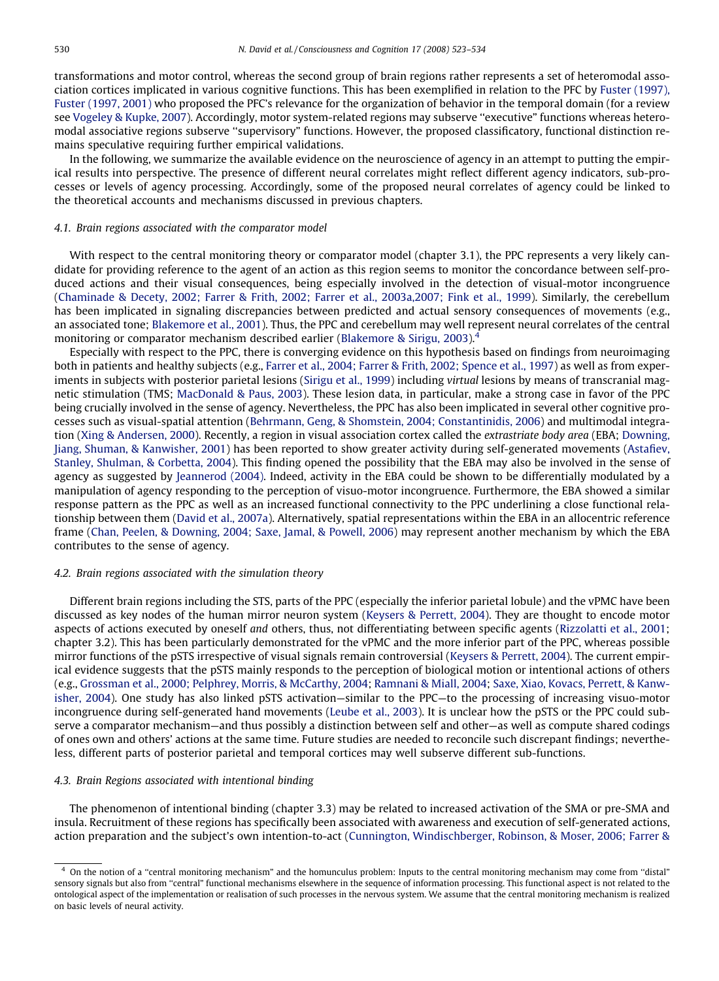transformations and motor control, whereas the second group of brain regions rather represents a set of heteromodal association cortices implicated in various cognitive functions. This has been exemplified in relation to the PFC by [Fuster \(1997\),](#page-9-0) [Fuster \(1997, 2001\)](#page-9-0) who proposed the PFC's relevance for the organization of behavior in the temporal domain (for a review see [Vogeley & Kupke, 2007](#page-10-0)). Accordingly, motor system-related regions may subserve "executive" functions whereas heteromodal associative regions subserve ''supervisory" functions. However, the proposed classificatory, functional distinction remains speculative requiring further empirical validations.

In the following, we summarize the available evidence on the neuroscience of agency in an attempt to putting the empirical results into perspective. The presence of different neural correlates might reflect different agency indicators, sub-processes or levels of agency processing. Accordingly, some of the proposed neural correlates of agency could be linked to the theoretical accounts and mechanisms discussed in previous chapters.

#### 4.1. Brain regions associated with the comparator model

With respect to the central monitoring theory or comparator model (chapter 3.1), the PPC represents a very likely candidate for providing reference to the agent of an action as this region seems to monitor the concordance between self-produced actions and their visual consequences, being especially involved in the detection of visual-motor incongruence [\(Chaminade & Decety, 2002; Farrer & Frith, 2002; Farrer et al., 2003a,2007; Fink et al., 1999](#page-9-0)). Similarly, the cerebellum has been implicated in signaling discrepancies between predicted and actual sensory consequences of movements (e.g., an associated tone; [Blakemore et al., 2001](#page-9-0)). Thus, the PPC and cerebellum may well represent neural correlates of the central monitoring or comparator mechanism described earlier [\(Blakemore & Sirigu, 2003\)](#page-9-0).[4](#page-7-0)

Especially with respect to the PPC, there is converging evidence on this hypothesis based on findings from neuroimaging both in patients and healthy subjects (e.g., [Farrer et al., 2004; Farrer & Frith, 2002; Spence et al., 1997\)](#page-9-0) as well as from exper-iments in subjects with posterior parietal lesions [\(Sirigu et al., 1999\)](#page-10-0) including virtual lesions by means of transcranial magnetic stimulation (TMS; [MacDonald & Paus, 2003](#page-10-0)). These lesion data, in particular, make a strong case in favor of the PPC being crucially involved in the sense of agency. Nevertheless, the PPC has also been implicated in several other cognitive processes such as visual-spatial attention [\(Behrmann, Geng, & Shomstein, 2004; Constantinidis, 2006](#page-9-0)) and multimodal integration ([Xing & Andersen, 2000](#page-11-1)). Recently, a region in visual association cortex called the extrastriate body area (EBA; [Downing,](#page-9-0) [Jiang, Shuman, & Kanwisher, 2001](#page-9-0)) has been reported to show greater activity during self-generated movements [\(Astafiev,](#page-8-1) [Stanley, Shulman, & Corbetta, 2004](#page-8-1)). This finding opened the possibility that the EBA may also be involved in the sense of agency as suggested by [Jeannerod \(2004\).](#page-9-0) Indeed, activity in the EBA could be shown to be differentially modulated by a manipulation of agency responding to the perception of visuo-motor incongruence. Furthermore, the EBA showed a similar response pattern as the PPC as well as an increased functional connectivity to the PPC underlining a close functional relationship between them ([David et al., 2007a](#page-9-0)). Alternatively, spatial representations within the EBA in an allocentric reference frame [\(Chan, Peelen, & Downing, 2004; Saxe, Jamal, & Powell, 2006](#page-9-0)) may represent another mechanism by which the EBA contributes to the sense of agency.

## 4.2. Brain regions associated with the simulation theory

Different brain regions including the STS, parts of the PPC (especially the inferior parietal lobule) and the vPMC have been discussed as key nodes of the human mirror neuron system [\(Keysers & Perrett, 2004](#page-10-0)). They are thought to encode motor aspects of actions executed by oneself and others, thus, not differentiating between specific agents [\(Rizzolatti et al., 2001](#page-10-0); chapter 3.2). This has been particularly demonstrated for the vPMC and the more inferior part of the PPC, whereas possible mirror functions of the pSTS irrespective of visual signals remain controversial ([Keysers & Perrett, 2004\)](#page-10-0). The current empirical evidence suggests that the pSTS mainly responds to the perception of biological motion or intentional actions of others (e.g., [Grossman et al., 2000; Pelphrey, Morris, & McCarthy, 2004;](#page-9-0) [Ramnani & Miall, 2004;](#page-10-0) [Saxe, Xiao, Kovacs, Perrett, & Kanw](#page-10-0)[isher, 2004\)](#page-10-0). One study has also linked pSTS activation—similar to the PPC—to the processing of increasing visuo-motor incongruence during self-generated hand movements ([Leube et al., 2003\)](#page-10-0). It is unclear how the pSTS or the PPC could subserve a comparator mechanism—and thus possibly a distinction between self and other—as well as compute shared codings of ones own and others' actions at the same time. Future studies are needed to reconcile such discrepant findings; nevertheless, different parts of posterior parietal and temporal cortices may well subserve different sub-functions.

#### 4.3. Brain Regions associated with intentional binding

The phenomenon of intentional binding (chapter 3.3) may be related to increased activation of the SMA or pre-SMA and insula. Recruitment of these regions has specifically been associated with awareness and execution of self-generated actions, action preparation and the subject's own intention-to-act [\(Cunnington, Windischberger, Robinson, & Moser, 2006; Farrer &](#page-9-0)

<span id="page-7-0"></span><sup>4</sup> On the notion of a ''central monitoring mechanism" and the homunculus problem: Inputs to the central monitoring mechanism may come from ''distal" sensory signals but also from ''central" functional mechanisms elsewhere in the sequence of information processing. This functional aspect is not related to the ontological aspect of the implementation or realisation of such processes in the nervous system. We assume that the central monitoring mechanism is realized on basic levels of neural activity.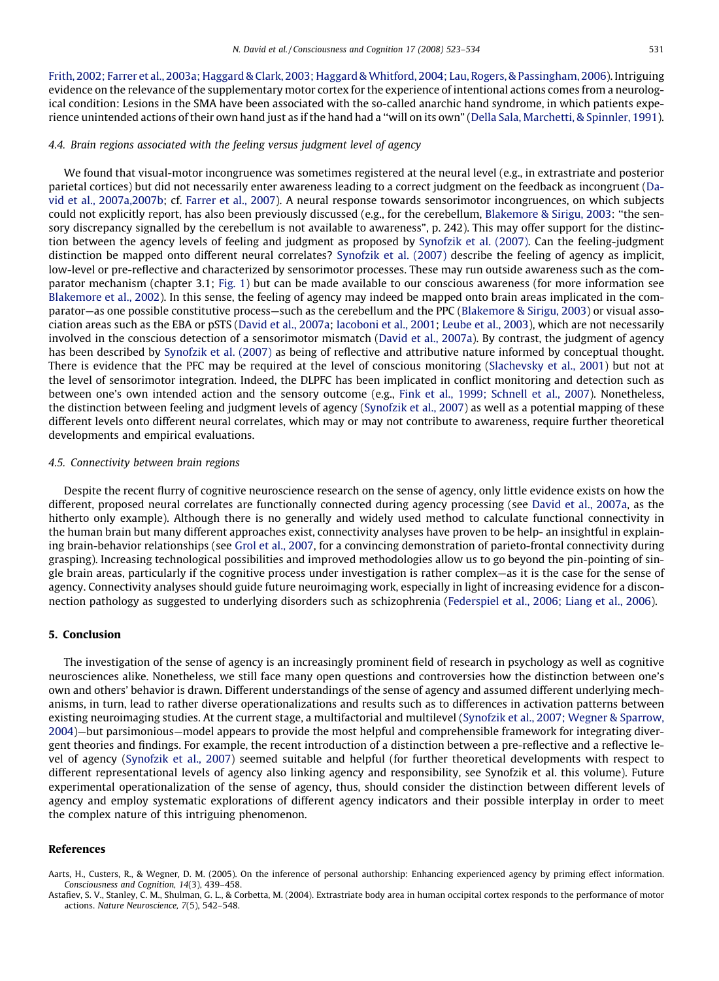Frith, 2002; Farrer et al., 2003a; Haggard & Clark, 2003; Haggard & Whitford, 2004; Lau, Rogers, & Passingham, 2006). Intriguing evidence on the relevance of the supplementary motor cortex for the experience of intentional actions comes from a neurological condition: Lesions in the SMA have been associated with the so-called anarchic hand syndrome, in which patients experience unintended actions of their own hand just as if the hand had a ''will on its own" ([Della Sala, Marchetti, & Spinnler, 1991](#page-9-0)).

# 4.4. Brain regions associated with the feeling versus judgment level of agency

We found that visual-motor incongruence was sometimes registered at the neural level (e.g., in extrastriate and posterior parietal cortices) but did not necessarily enter awareness leading to a correct judgment on the feedback as incongruent ([Da](#page-9-0)[vid et al., 2007a,2007b;](#page-9-0) cf. [Farrer et al., 2007\)](#page-9-0). A neural response towards sensorimotor incongruences, on which subjects could not explicitly report, has also been previously discussed (e.g., for the cerebellum, [Blakemore & Sirigu, 2003](#page-9-0): ''the sensory discrepancy signalled by the cerebellum is not available to awareness", p. 242). This may offer support for the distinction between the agency levels of feeling and judgment as proposed by [Synofzik et al. \(2007\)](#page-10-0). Can the feeling-judgment distinction be mapped onto different neural correlates? [Synofzik et al. \(2007\)](#page-10-0) describe the feeling of agency as implicit, low-level or pre-reflective and characterized by sensorimotor processes. These may run outside awareness such as the comparator mechanism (chapter 3.1; [Fig. 1](#page-4-0)) but can be made available to our conscious awareness (for more information see [Blakemore et al., 2002](#page-9-0)). In this sense, the feeling of agency may indeed be mapped onto brain areas implicated in the comparator—as one possible constitutive process—such as the cerebellum and the PPC ([Blakemore & Sirigu, 2003](#page-9-0)) or visual association areas such as the EBA or pSTS ([David et al., 2007a;](#page-9-0) [Iacoboni et al., 2001](#page-9-0); [Leube et al., 2003](#page-10-0)), which are not necessarily involved in the conscious detection of a sensorimotor mismatch ([David et al., 2007a\)](#page-9-0). By contrast, the judgment of agency has been described by [Synofzik et al. \(2007\)](#page-10-0) as being of reflective and attributive nature informed by conceptual thought. There is evidence that the PFC may be required at the level of conscious monitoring ([Slachevsky et al., 2001\)](#page-10-0) but not at the level of sensorimotor integration. Indeed, the DLPFC has been implicated in conflict monitoring and detection such as between one's own intended action and the sensory outcome (e.g., [Fink et al., 1999; Schnell et al., 2007\)](#page-9-0). Nonetheless, the distinction between feeling and judgment levels of agency [\(Synofzik et al., 2007](#page-10-0)) as well as a potential mapping of these different levels onto different neural correlates, which may or may not contribute to awareness, require further theoretical developments and empirical evaluations.

#### 4.5. Connectivity between brain regions

Despite the recent flurry of cognitive neuroscience research on the sense of agency, only little evidence exists on how the different, proposed neural correlates are functionally connected during agency processing (see [David et al., 2007a,](#page-9-0) as the hitherto only example). Although there is no generally and widely used method to calculate functional connectivity in the human brain but many different approaches exist, connectivity analyses have proven to be help- an insightful in explaining brain-behavior relationships (see [Grol et al., 2007,](#page-9-0) for a convincing demonstration of parieto-frontal connectivity during grasping). Increasing technological possibilities and improved methodologies allow us to go beyond the pin-pointing of single brain areas, particularly if the cognitive process under investigation is rather complex—as it is the case for the sense of agency. Connectivity analyses should guide future neuroimaging work, especially in light of increasing evidence for a disconnection pathology as suggested to underlying disorders such as schizophrenia [\(Federspiel et al., 2006; Liang et al., 2006](#page-9-0)).

# 5. Conclusion

<span id="page-8-0"></span>The investigation of the sense of agency is an increasingly prominent field of research in psychology as well as cognitive neurosciences alike. Nonetheless, we still face many open questions and controversies how the distinction between one's own and others' behavior is drawn. Different understandings of the sense of agency and assumed different underlying mechanisms, in turn, lead to rather diverse operationalizations and results such as to differences in activation patterns between existing neuroimaging studies. At the current stage, a multifactorial and multilevel ([Synofzik et al., 2007; Wegner & Sparrow,](#page-10-0) [2004\)](#page-10-0)—but parsimonious—model appears to provide the most helpful and comprehensible framework for integrating divergent theories and findings. For example, the recent introduction of a distinction between a pre-reflective and a reflective level of agency [\(Synofzik et al., 2007\)](#page-10-0) seemed suitable and helpful (for further theoretical developments with respect to different representational levels of agency also linking agency and responsibility, see Synofzik et al. this volume). Future experimental operationalization of the sense of agency, thus, should consider the distinction between different levels of agency and employ systematic explorations of different agency indicators and their possible interplay in order to meet the complex nature of this intriguing phenomenon.

# References

Aarts, H., Custers, R., & Wegner, D. M. (2005). On the inference of personal authorship: Enhancing experienced agency by priming effect information. Consciousness and Cognition, 14(3), 439–458.

<span id="page-8-1"></span>Astafiev, S. V., Stanley, C. M., Shulman, G. L., & Corbetta, M. (2004). Extrastriate body area in human occipital cortex responds to the performance of motor actions. Nature Neuroscience, 7(5), 542–548.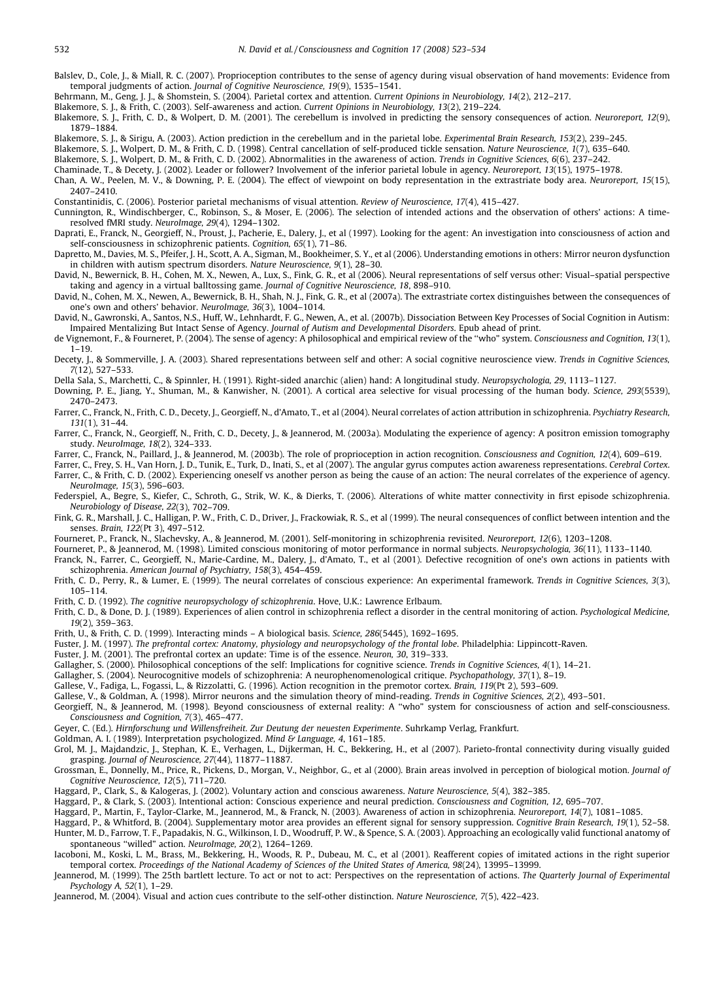- Balslev, D., Cole, J., & Miall, R. C. (2007). Proprioception contributes to the sense of agency during visual observation of hand movements: Evidence from temporal judgments of action. Journal of Cognitive Neuroscience, 19(9), 1535–1541.
- Behrmann, M., Geng, J. J., & Shomstein, S. (2004). Parietal cortex and attention. Current Opinions in Neurobiology, 14(2), 212–217.
- Blakemore, S. J., & Frith, C. (2003). Self-awareness and action. Current Opinions in Neurobiology, 13(2), 219–224.
- Blakemore, S. J., Frith, C. D., & Wolpert, D. M. (2001). The cerebellum is involved in predicting the sensory consequences of action. Neuroreport, 12(9), 1879–1884.
- Blakemore, S. J., & Sirigu, A. (2003). Action prediction in the cerebellum and in the parietal lobe. Experimental Brain Research, 153(2), 239–245.
- Blakemore, S. J., Wolpert, D. M., & Frith, C. D. (1998). Central cancellation of self-produced tickle sensation. Nature Neuroscience, 1(7), 635–640.
- Blakemore, S. J., Wolpert, D. M., & Frith, C. D. (2002). Abnormalities in the awareness of action. Trends in Cognitive Sciences, 6(6), 237–242.
- Chaminade, T., & Decety, J. (2002). Leader or follower? Involvement of the inferior parietal lobule in agency. Neuroreport, 13(15), 1975–1978.
- Chan, A. W., Peelen, M. V., & Downing, P. E. (2004). The effect of viewpoint on body representation in the extrastriate body area. Neuroreport, 15(15), 2407–2410.
- Constantinidis, C. (2006). Posterior parietal mechanisms of visual attention. Review of Neuroscience, 17(4), 415–427.
- Cunnington, R., Windischberger, C., Robinson, S., & Moser, E. (2006). The selection of intended actions and the observation of others' actions: A timeresolved fMRI study. NeuroImage, 29(4), 1294–1302.
- Daprati, E., Franck, N., Georgieff, N., Proust, J., Pacherie, E., Dalery, J., et al (1997). Looking for the agent: An investigation into consciousness of action and self-consciousness in schizophrenic patients. Cognition, 65(1), 71–86.
- Dapretto, M., Davies, M. S., Pfeifer, J. H., Scott, A. A., Sigman, M., Bookheimer, S. Y., et al (2006). Understanding emotions in others: Mirror neuron dysfunction in children with autism spectrum disorders. Nature Neuroscience, 9(1), 28–30.
- David, N., Bewernick, B. H., Cohen, M. X., Newen, A., Lux, S., Fink, G. R., et al (2006). Neural representations of self versus other: Visual–spatial perspective taking and agency in a virtual balltossing game. Journal of Cognitive Neuroscience, 18, 898–910.
- David, N., Cohen, M. X., Newen, A., Bewernick, B. H., Shah, N. J., Fink, G. R., et al (2007a). The extrastriate cortex distinguishes between the consequences of one's own and others' behavior. NeuroImage, 36(3), 1004–1014.
- David, N., Gawronski, A., Santos, N.S., Huff, W., Lehnhardt, F. G., Newen, A., et al. (2007b). Dissociation Between Key Processes of Social Cognition in Autism: Impaired Mentalizing But Intact Sense of Agency. Journal of Autism and Developmental Disorders. Epub ahead of print.
- de Vignemont, F., & Fourneret, P. (2004). The sense of agency: A philosophical and empirical review of the ''who" system. Consciousness and Cognition, 13(1), 1–19.
- Decety, J., & Sommerville, J. A. (2003). Shared representations between self and other: A social cognitive neuroscience view. Trends in Cognitive Sciences, 7(12), 527–533.
- Della Sala, S., Marchetti, C., & Spinnler, H. (1991). Right-sided anarchic (alien) hand: A longitudinal study. Neuropsychologia, 29, 1113–1127.
- Downing, P. E., Jiang, Y., Shuman, M., & Kanwisher, N. (2001). A cortical area selective for visual processing of the human body. Science, 293(5539), 2470–2473.
- Farrer, C., Franck, N., Frith, C. D., Decety, J., Georgieff, N., d'Amato, T., et al (2004). Neural correlates of action attribution in schizophrenia. Psychiatry Research, 131(1), 31–44.
- Farrer, C., Franck, N., Georgieff, N., Frith, C. D., Decety, J., & Jeannerod, M. (2003a). Modulating the experience of agency: A positron emission tomography study. NeuroImage, 18(2), 324–333.
- Farrer, C., Franck, N., Paillard, J., & Jeannerod, M. (2003b). The role of proprioception in action recognition. Consciousness and Cognition, 12(4), 609–619.
- Farrer, C., Frey, S. H., Van Horn, J. D., Tunik, E., Turk, D., Inati, S., et al (2007). The angular gyrus computes action awareness representations. Cerebral Cortex. Farrer, C., & Frith, C. D. (2002). Experiencing oneself vs another person as being the cause of an action: The neural correlates of the experience of agency. NeuroImage, 15(3), 596–603.
- Federspiel, A., Begre, S., Kiefer, C., Schroth, G., Strik, W. K., & Dierks, T. (2006). Alterations of white matter connectivity in first episode schizophrenia. Neurobiology of Disease, 22(3), 702–709.
- Fink, G. R., Marshall, J. C., Halligan, P. W., Frith, C. D., Driver, J., Frackowiak, R. S., et al (1999). The neural consequences of conflict between intention and the senses. Brain, 122(Pt 3), 497–512.
- Fourneret, P., Franck, N., Slachevsky, A., & Jeannerod, M. (2001). Self-monitoring in schizophrenia revisited. Neuroreport, 12(6), 1203–1208.
- Fourneret, P., & Jeannerod, M. (1998). Limited conscious monitoring of motor performance in normal subjects. Neuropsychologia, 36(11), 1133–1140.
- Franck, N., Farrer, C., Georgieff, N., Marie-Cardine, M., Dalery, J., d'Amato, T., et al (2001). Defective recognition of one's own actions in patients with schizophrenia. American Journal of Psychiatry, 158(3), 454–459.
- Frith, C. D., Perry, R., & Lumer, E. (1999). The neural correlates of conscious experience: An experimental framework. Trends in Cognitive Sciences, 3(3), 105–114.
- Frith, C. D. (1992). The cognitive neuropsychology of schizophrenia. Hove, U.K.: Lawrence Erlbaum.
- Frith, C. D., & Done, D. J. (1989). Experiences of alien control in schizophrenia reflect a disorder in the central monitoring of action. Psychological Medicine, 19(2), 359–363.
- Frith, U., & Frith, C. D. (1999). Interacting minds A biological basis. Science, 286(5445), 1692–1695.
- Fuster, J. M. (1997). The prefrontal cortex: Anatomy, physiology and neuropsychology of the frontal lobe. Philadelphia: Lippincott-Raven.
- Fuster, J. M. (2001). The prefrontal cortex an update: Time is of the essence. Neuron, 30, 319–333.
- Gallagher, S. (2000). Philosophical conceptions of the self: Implications for cognitive science. Trends in Cognitive Sciences, 4(1), 14–21.
- Gallagher, S. (2004). Neurocognitive models of schizophrenia: A neurophenomenological critique. Psychopathology, 37(1), 8–19.
- Gallese, V., Fadiga, L., Fogassi, L., & Rizzolatti, G. (1996). Action recognition in the premotor cortex. Brain, 119(Pt 2), 593–609.
- Gallese, V., & Goldman, A. (1998). Mirror neurons and the simulation theory of mind-reading. Trends in Cognitive Sciences, 2(2), 493–501.
- Georgieff, N., & Jeannerod, M. (1998). Beyond consciousness of external reality: A ''who" system for consciousness of action and self-consciousness. Consciousness and Cognition, 7(3), 465–477.
- <span id="page-9-1"></span>Geyer, C. (Ed.). Hirnforschung und Willensfreiheit. Zur Deutung der neuesten Experimente. Suhrkamp Verlag, Frankfurt.
- Goldman, A. I. (1989). Interpretation psychologized. Mind & Language, 4, 161-185.
- Grol, M. J., Majdandzic, J., Stephan, K. E., Verhagen, L., Dijkerman, H. C., Bekkering, H., et al (2007). Parieto-frontal connectivity during visually guided grasping. Journal of Neuroscience, 27(44), 11877–11887.
- Grossman, E., Donnelly, M., Price, R., Pickens, D., Morgan, V., Neighbor, G., et al (2000). Brain areas involved in perception of biological motion. Journal of Cognitive Neuroscience, 12(5), 711–720.
- Haggard, P., Clark, S., & Kalogeras, J. (2002). Voluntary action and conscious awareness. Nature Neuroscience, 5(4), 382–385.
- Haggard, P., & Clark, S. (2003). Intentional action: Conscious experience and neural prediction. Consciousness and Cognition, 12, 695–707.
- Haggard, P., Martin, F., Taylor-Clarke, M., Jeannerod, M., & Franck, N. (2003). Awareness of action in schizophrenia. Neuroreport, 14(7), 1081–1085.
- Haggard, P., & Whitford, B. (2004). Supplementary motor area provides an efferent signal for sensory suppression. Cognitive Brain Research, 19(1), 52–58. Hunter, M. D., Farrow, T. F., Papadakis, N. G., Wilkinson, I. D., Woodruff, P. W., & Spence, S. A. (2003). Approaching an ecologically valid functional anatomy of
- spontaneous ''willed" action. NeuroImage, 20(2), 1264–1269. Iacoboni, M., Koski, L. M., Brass, M., Bekkering, H., Woods, R. P., Dubeau, M. C., et al (2001). Reafferent copies of imitated actions in the right superior
- temporal cortex. Proceedings of the National Academy of Sciences of the United States of America, 98(24), 13995–13999. Jeannerod, M. (1999). The 25th bartlett lecture. To act or not to act: Perspectives on the representation of actions. The Quarterly Journal of Experimental
- Psychology A, 52(1), 1–29.
- <span id="page-9-0"></span>Jeannerod, M. (2004). Visual and action cues contribute to the self-other distinction. Nature Neuroscience, 7(5), 422–423.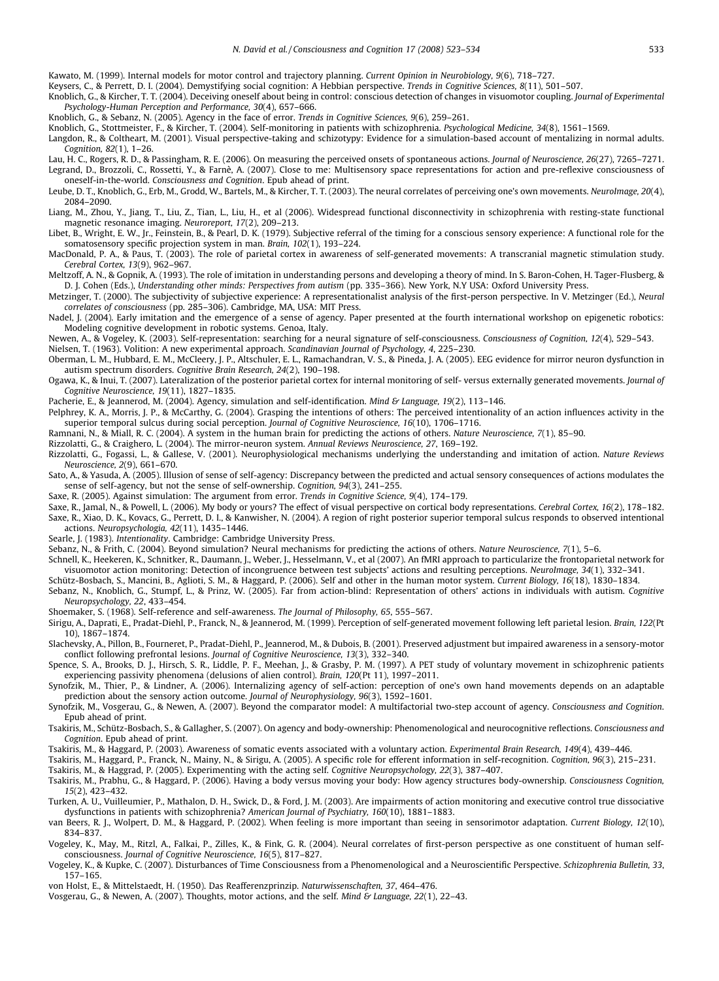Kawato, M. (1999). Internal models for motor control and trajectory planning. Current Opinion in Neurobiology, 9(6), 718–727.

Keysers, C., & Perrett, D. I. (2004). Demystifying social cognition: A Hebbian perspective. Trends in Cognitive Sciences, 8(11), 501–507.

Knoblich, G., & Kircher, T. T. (2004). Deceiving oneself about being in control: conscious detection of changes in visuomotor coupling. Journal of Experimental Psychology-Human Perception and Performance, 30(4), 657–666.

Knoblich, G., & Sebanz, N. (2005). Agency in the face of error. Trends in Cognitive Sciences, 9(6), 259–261.

Knoblich, G., Stottmeister, F., & Kircher, T. (2004). Self-monitoring in patients with schizophrenia. Psychological Medicine, 34(8), 1561–1569.

Langdon, R., & Coltheart, M. (2001). Visual perspective-taking and schizotypy: Evidence for a simulation-based account of mentalizing in normal adults. Cognition, 82(1), 1–26.

Lau, H. C., Rogers, R. D., & Passingham, R. E. (2006). On measuring the perceived onsets of spontaneous actions. Journal of Neuroscience, 26(27), 7265–7271. Legrand, D., Brozzoli, C., Rossetti, Y., & Farnè, A. (2007). Close to me: Multisensory space representations for action and pre-reflexive consciousness of oneself-in-the-world. Consciousness and Cognition. Epub ahead of print.

Leube, D. T., Knoblich, G., Erb, M., Grodd, W., Bartels, M., & Kircher, T. T. (2003). The neural correlates of perceiving one's own movements. NeuroImage, 20(4), 2084–2090.

Liang, M., Zhou, Y., Jiang, T., Liu, Z., Tian, L., Liu, H., et al (2006). Widespread functional disconnectivity in schizophrenia with resting-state functional magnetic resonance imaging. Neuroreport, 17(2), 209–213.

Libet, B., Wright, E. W., Jr., Feinstein, B., & Pearl, D. K. (1979). Subjective referral of the timing for a conscious sensory experience: A functional role for the somatosensory specific projection system in man. Brain, 102(1), 193–224.

MacDonald, P. A., & Paus, T. (2003). The role of parietal cortex in awareness of self-generated movements: A transcranial magnetic stimulation study. Cerebral Cortex, 13(9), 962–967.

Meltzoff, A. N., & Gopnik, A. (1993). The role of imitation in understanding persons and developing a theory of mind. In S. Baron-Cohen, H. Tager-Flusberg, & D. J. Cohen (Eds.), Understanding other minds: Perspectives from autism (pp. 335–366). New York, N.Y USA: Oxford University Press.

Metzinger, T. (2000). The subjectivity of subjective experience: A representationalist analysis of the first-person perspective. In V. Metzinger (Ed.), Neural correlates of consciousness (pp. 285–306). Cambridge, MA, USA: MIT Press.

Nadel, J. (2004). Early imitation and the emergence of a sense of agency. Paper presented at the fourth international workshop on epigenetic robotics: Modeling cognitive development in robotic systems. Genoa, Italy.

Newen, A., & Vogeley, K. (2003). Self-representation: searching for a neural signature of self-consciousness. Consciousness of Cognition, 12(4), 529–543.

Nielsen, T. (1963). Volition: A new experimental approach. Scandinavian Journal of Psychology, 4, 225–230.

Oberman, L. M., Hubbard, E. M., McCleery, J. P., Altschuler, E. L., Ramachandran, V. S., & Pineda, J. A. (2005). EEG evidence for mirror neuron dysfunction in autism spectrum disorders. Cognitive Brain Research, 24(2), 190–198.

Ogawa, K., & Inui, T. (2007). Lateralization of the posterior parietal cortex for internal monitoring of self- versus externally generated movements. Journal of Cognitive Neuroscience, 19(11), 1827–1835.

Pacherie, E., & Jeannerod, M. (2004). Agency, simulation and self-identification. Mind & Language, 19(2), 113-146.

Pelphrey, K. A., Morris, J. P., & McCarthy, G. (2004). Grasping the intentions of others: The perceived intentionality of an action influences activity in the superior temporal sulcus during social perception. Journal of Cognitive Neuroscience, 16(10), 1706–1716.

Ramnani, N., & Miall, R. C. (2004). A system in the human brain for predicting the actions of others. Nature Neuroscience, 7(1), 85–90.

Rizzolatti, G., & Craighero, L. (2004). The mirror-neuron system. Annual Reviews Neuroscience, 27, 169–192.

Rizzolatti, G., Fogassi, L., & Gallese, V. (2001). Neurophysiological mechanisms underlying the understanding and imitation of action. Nature Reviews Neuroscience, 2(9), 661–670.

Sato, A., & Yasuda, A. (2005). Illusion of sense of self-agency: Discrepancy between the predicted and actual sensory consequences of actions modulates the sense of self-agency, but not the sense of self-ownership. Cognition, 94(3), 241–255.

Saxe, R. (2005). Against simulation: The argument from error. Trends in Cognitive Science, 9(4), 174–179.

Saxe, R., Jamal, N., & Powell, L. (2006). My body or yours? The effect of visual perspective on cortical body representations. Cerebral Cortex, 16(2), 178–182. Saxe, R., Xiao, D. K., Kovacs, G., Perrett, D. I., & Kanwisher, N. (2004). A region of right posterior superior temporal sulcus responds to observed intentional

actions. Neuropsychologia, 42(11), 1435–1446.

Searle, J. (1983). Intentionality. Cambridge: Cambridge University Press.

Sebanz, N., & Frith, C. (2004). Beyond simulation? Neural mechanisms for predicting the actions of others. Nature Neuroscience, 7(1), 5–6.

Schnell, K., Heekeren, K., Schnitker, R., Daumann, J., Weber, J., Hesselmann, V., et al (2007). An fMRI approach to particularize the frontoparietal network for visuomotor action monitoring: Detection of incongruence between test subjects' actions and resulting perceptions. NeuroImage, 34(1), 332–341.

Schütz-Bosbach, S., Mancini, B., Aglioti, S. M., & Haggard, P. (2006). Self and other in the human motor system. Current Biology, 16(18), 1830–1834. Sebanz, N., Knoblich, G., Stumpf, L., & Prinz, W. (2005). Far from action-blind: Representation of others' actions in individuals with autism. Cognitive Neuropsychology, 22, 433–454.

Shoemaker, S. (1968). Self-reference and self-awareness. The Journal of Philosophy, 65, 555–567.

Sirigu, A., Daprati, E., Pradat-Diehl, P., Franck, N., & Jeannerod, M. (1999). Perception of self-generated movement following left parietal lesion. Brain, 122(Pt 10), 1867–1874.

Slachevsky, A., Pillon, B., Fourneret, P., Pradat-Diehl, P., Jeannerod, M., & Dubois, B. (2001). Preserved adjustment but impaired awareness in a sensory-motor conflict following prefrontal lesions. Journal of Cognitive Neuroscience, 13(3), 332–340.

Spence, S. A., Brooks, D. J., Hirsch, S. R., Liddle, P. F., Meehan, J., & Grasby, P. M. (1997). A PET study of voluntary movement in schizophrenic patients experiencing passivity phenomena (delusions of alien control). Brain, 120(Pt 11), 1997–2011.

Synofzik, M., Thier, P., & Lindner, A. (2006). Internalizing agency of self-action: perception of one's own hand movements depends on an adaptable prediction about the sensory action outcome. Journal of Neurophysiology, 96(3), 1592–1601.

Synofzik, M., Vosgerau, G., & Newen, A. (2007). Beyond the comparator model: A multifactorial two-step account of agency. Consciousness and Cognition. Epub ahead of print.

<span id="page-10-1"></span>Tsakiris, M., Schütz-Bosbach, S., & Gallagher, S. (2007). On agency and body-ownership: Phenomenological and neurocognitive reflections. Consciousness and Cognition. Epub ahead of print.

Tsakiris, M., & Haggard, P. (2003). Awareness of somatic events associated with a voluntary action. Experimental Brain Research, 149(4), 439–446.

Tsakiris, M., Haggard, P., Franck, N., Mainy, N., & Sirigu, A. (2005). A specific role for efferent information in self-recognition. Cognition, 96(3), 215–231.

Tsakiris, M., & Haggrad, P. (2005). Experimenting with the acting self. Cognitive Neuropsychology, 22(3), 387–407.

Tsakiris, M., Prabhu, G., & Haggard, P. (2006). Having a body versus moving your body: How agency structures body-ownership. Consciousness Cognition, 15(2), 423–432.

Turken, A. U., Vuilleumier, P., Mathalon, D. H., Swick, D., & Ford, J. M. (2003). Are impairments of action monitoring and executive control true dissociative dysfunctions in patients with schizophrenia? American Journal of Psychiatry, 160(10), 1881–1883.

van Beers, R. J., Wolpert, D. M., & Haggard, P. (2002). When feeling is more important than seeing in sensorimotor adaptation. Current Biology, 12(10), 834–837.

Vogeley, K., May, M., Ritzl, A., Falkai, P., Zilles, K., & Fink, G. R. (2004). Neural correlates of first-person perspective as one constituent of human selfconsciousness. Journal of Cognitive Neuroscience, 16(5), 817–827.

Vogeley, K., & Kupke, C. (2007). Disturbances of Time Consciousness from a Phenomenological and a Neuroscientific Perspective. Schizophrenia Bulletin, 33, 157–165.

von Holst, E., & Mittelstaedt, H. (1950). Das Reafferenzprinzip. Naturwissenschaften, 37, 464–476.

<span id="page-10-0"></span>Vosgerau, G., & Newen, A. (2007). Thoughts, motor actions, and the self. Mind & Language, 22(1), 22-43.